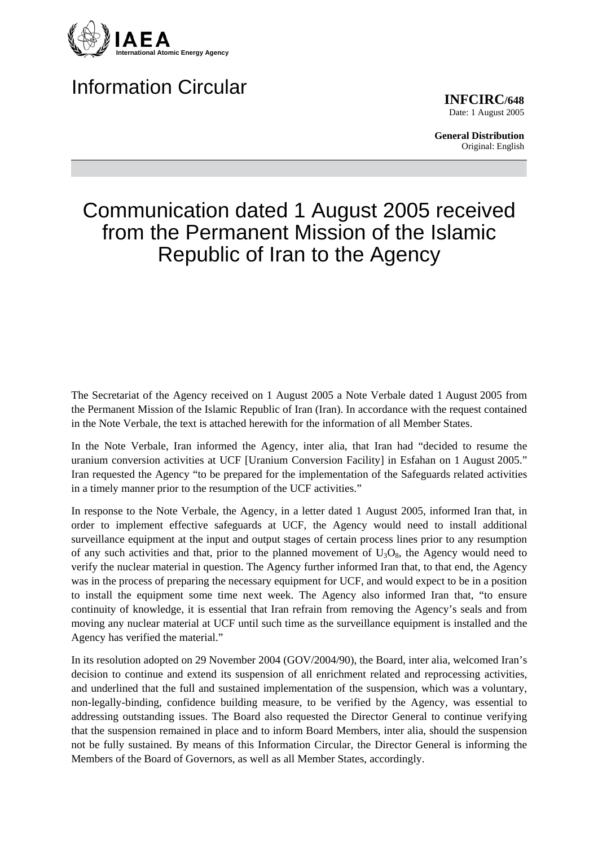

## Information Circular

**INFCIRC/648** Date: 1 August 2005

**General Distribution** Original: English

## Communication dated 1 August 2005 received from the Permanent Mission of the Islamic Republic of Iran to the Agency

The Secretariat of the Agency received on 1 August 2005 a Note Verbale dated 1 August 2005 from the Permanent Mission of the Islamic Republic of Iran (Iran). In accordance with the request contained in the Note Verbale, the text is attached herewith for the information of all Member States.

In the Note Verbale, Iran informed the Agency, inter alia, that Iran had "decided to resume the uranium conversion activities at UCF [Uranium Conversion Facility] in Esfahan on 1 August 2005." Iran requested the Agency "to be prepared for the implementation of the Safeguards related activities in a timely manner prior to the resumption of the UCF activities."

In response to the Note Verbale, the Agency, in a letter dated 1 August 2005, informed Iran that, in order to implement effective safeguards at UCF, the Agency would need to install additional surveillance equipment at the input and output stages of certain process lines prior to any resumption of any such activities and that, prior to the planned movement of  $U_3O_8$ , the Agency would need to verify the nuclear material in question. The Agency further informed Iran that, to that end, the Agency was in the process of preparing the necessary equipment for UCF, and would expect to be in a position to install the equipment some time next week. The Agency also informed Iran that, "to ensure continuity of knowledge, it is essential that Iran refrain from removing the Agency's seals and from moving any nuclear material at UCF until such time as the surveillance equipment is installed and the Agency has verified the material."

In its resolution adopted on 29 November 2004 (GOV/2004/90), the Board, inter alia, welcomed Iran's decision to continue and extend its suspension of all enrichment related and reprocessing activities, and underlined that the full and sustained implementation of the suspension, which was a voluntary, non-legally-binding, confidence building measure, to be verified by the Agency, was essential to addressing outstanding issues. The Board also requested the Director General to continue verifying that the suspension remained in place and to inform Board Members, inter alia, should the suspension not be fully sustained. By means of this Information Circular, the Director General is informing the Members of the Board of Governors, as well as all Member States, accordingly.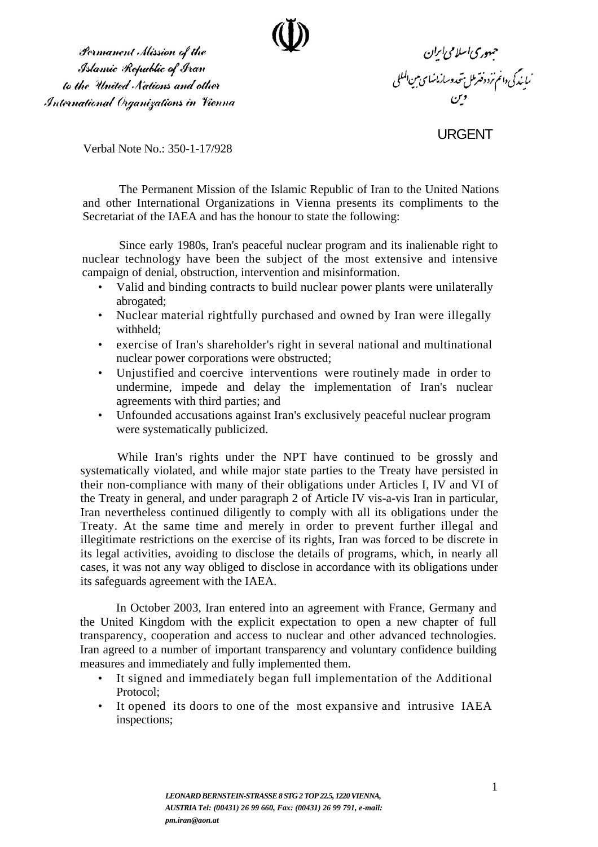Sermanent Mission of the Islamic Republic of Iran to the United Nations and other International Organizations in Vienna

حبهوری *اسلامی ایران*<br>ٔ مایندگی دانم تزددقترمل متحدوسازمانهای بین المللی<br>وین

URGENT

Verbal Note No.: 350-1-17/928

The Permanent Mission of the Islamic Republic of Iran to the United Nations and other International Organizations in Vienna presents its compliments to the Secretariat of the IAEA and has the honour to state the following:

Since early 1980s, Iran's peaceful nuclear program and its inalienable right to nuclear technology have been the subject of the most extensive and intensive campaign of denial, obstruction, intervention and misinformation.

- Valid and binding contracts to build nuclear power plants were unilaterally abrogated;
- Nuclear material rightfully purchased and owned by Iran were illegally withheld;
- exercise of Iran's shareholder's right in several national and multinational nuclear power corporations were obstructed;
- Unjustified and coercive interventions were routinely made in order to undermine, impede and delay the implementation of Iran's nuclear agreements with third parties; and
- Unfounded accusations against Iran's exclusively peaceful nuclear program were systematically publicized.

While Iran's rights under the NPT have continued to be grossly and systematically violated, and while major state parties to the Treaty have persisted in their non-compliance with many of their obligations under Articles I, IV and VI of the Treaty in general, and under paragraph 2 of Article IV vis-a-vis Iran in particular, Iran nevertheless continued diligently to comply with all its obligations under the Treaty. At the same time and merely in order to prevent further illegal and illegitimate restrictions on the exercise of its rights, Iran was forced to be discrete in its legal activities, avoiding to disclose the details of programs, which, in nearly all cases, it was not any way obliged to disclose in accordance with its obligations under its safeguards agreement with the IAEA.

In October 2003, Iran entered into an agreement with France, Germany and the United Kingdom with the explicit expectation to open a new chapter of full transparency, cooperation and access to nuclear and other advanced technologies. Iran agreed to a number of important transparency and voluntary confidence building measures and immediately and fully implemented them.

- It signed and immediately began full implementation of the Additional Protocol;
- It opened its doors to one of the most expansive and intrusive IAEA inspections;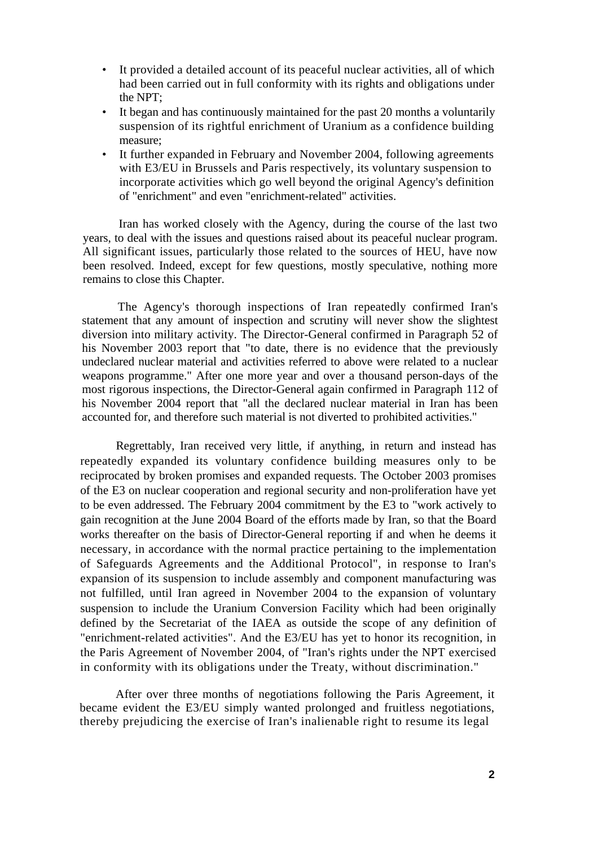- It provided a detailed account of its peaceful nuclear activities, all of which had been carried out in full conformity with its rights and obligations under the NPT;
- It began and has continuously maintained for the past 20 months a voluntarily suspension of its rightful enrichment of Uranium as a confidence building measure;
- It further expanded in February and November 2004, following agreements with E3/EU in Brussels and Paris respectively, its voluntary suspension to incorporate activities which go well beyond the original Agency's definition of "enrichment" and even "enrichment-related" activities.

Iran has worked closely with the Agency, during the course of the last two years, to deal with the issues and questions raised about its peaceful nuclear program. All significant issues, particularly those related to the sources of HEU, have now been resolved. Indeed, except for few questions, mostly speculative, nothing more remains to close this Chapter.

The Agency's thorough inspections of Iran repeatedly confirmed Iran's statement that any amount of inspection and scrutiny will never show the slightest diversion into military activity. The Director-General confirmed in Paragraph 52 of his November 2003 report that "to date, there is no evidence that the previously undeclared nuclear material and activities referred to above were related to a nuclear weapons programme." After one more year and over a thousand person-days of the most rigorous inspections, the Director-General again confirmed in Paragraph 112 of his November 2004 report that "all the declared nuclear material in Iran has been accounted for, and therefore such material is not diverted to prohibited activities."

Regrettably, Iran received very little, if anything, in return and instead has repeatedly expanded its voluntary confidence building measures only to be reciprocated by broken promises and expanded requests. The October 2003 promises of the E3 on nuclear cooperation and regional security and non-proliferation have yet to be even addressed. The February 2004 commitment by the E3 to "work actively to gain recognition at the June 2004 Board of the efforts made by Iran, so that the Board works thereafter on the basis of Director-General reporting if and when he deems it necessary, in accordance with the normal practice pertaining to the implementation of Safeguards Agreements and the Additional Protocol", in response to Iran's expansion of its suspension to include assembly and component manufacturing was not fulfilled, until Iran agreed in November 2004 to the expansion of voluntary suspension to include the Uranium Conversion Facility which had been originally defined by the Secretariat of the IAEA as outside the scope of any definition of "enrichment-related activities". And the E3/EU has yet to honor its recognition, in the Paris Agreement of November 2004, of "Iran's rights under the NPT exercised in conformity with its obligations under the Treaty, without discrimination."

After over three months of negotiations following the Paris Agreement, it became evident the E3/EU simply wanted prolonged and fruitless negotiations, thereby prejudicing the exercise of Iran's inalienable right to resume its legal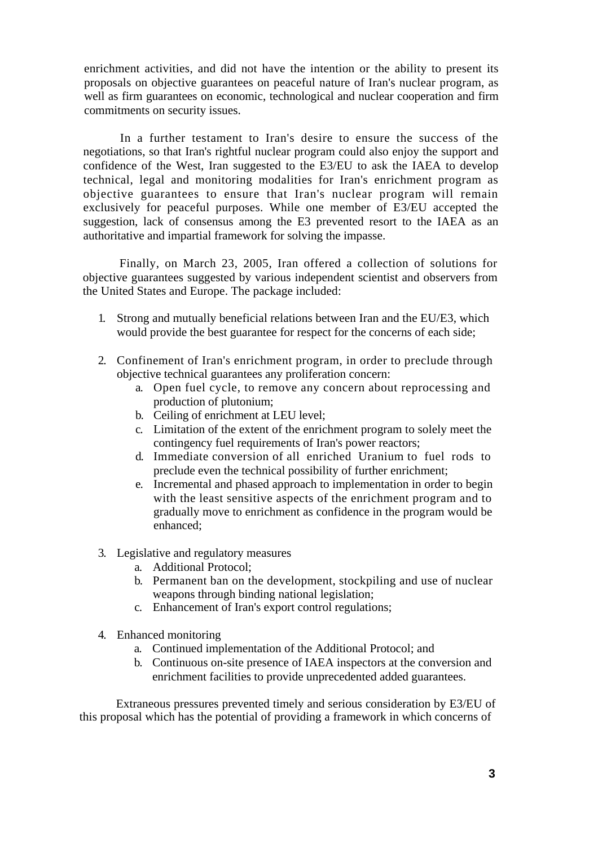enrichment activities, and did not have the intention or the ability to present its proposals on objective guarantees on peaceful nature of Iran's nuclear program, as well as firm guarantees on economic, technological and nuclear cooperation and firm commitments on security issues.

In a further testament to Iran's desire to ensure the success of the negotiations, so that Iran's rightful nuclear program could also enjoy the support and confidence of the West, Iran suggested to the E3/EU to ask the IAEA to develop technical, legal and monitoring modalities for Iran's enrichment program as objective guarantees to ensure that Iran's nuclear program will remain exclusively for peaceful purposes. While one member of E3/EU accepted the suggestion, lack of consensus among the E3 prevented resort to the IAEA as an authoritative and impartial framework for solving the impasse.

Finally, on March 23, 2005, Iran offered a collection of solutions for objective guarantees suggested by various independent scientist and observers from the United States and Europe. The package included:

- 1. Strong and mutually beneficial relations between Iran and the EU/E3, which would provide the best guarantee for respect for the concerns of each side;
- 2. Confinement of Iran's enrichment program, in order to preclude through objective technical guarantees any proliferation concern:
	- a. Open fuel cycle, to remove any concern about reprocessing and production of plutonium;
	- b. Ceiling of enrichment at LEU level;
	- c. Limitation of the extent of the enrichment program to solely meet the contingency fuel requirements of Iran's power reactors;
	- d. Immediate conversion of all enriched Uranium to fuel rods to preclude even the technical possibility of further enrichment;
	- e. Incremental and phased approach to implementation in order to begin with the least sensitive aspects of the enrichment program and to gradually move to enrichment as confidence in the program would be enhanced;
- 3. Legislative and regulatory measures
	- a. Additional Protocol;
	- b. Permanent ban on the development, stockpiling and use of nuclear weapons through binding national legislation;
	- c. Enhancement of Iran's export control regulations;
- 4. Enhanced monitoring
	- a. Continued implementation of the Additional Protocol; and
	- b. Continuous on-site presence of IAEA inspectors at the conversion and enrichment facilities to provide unprecedented added guarantees.

Extraneous pressures prevented timely and serious consideration by E3/EU of this proposal which has the potential of providing a framework in which concerns of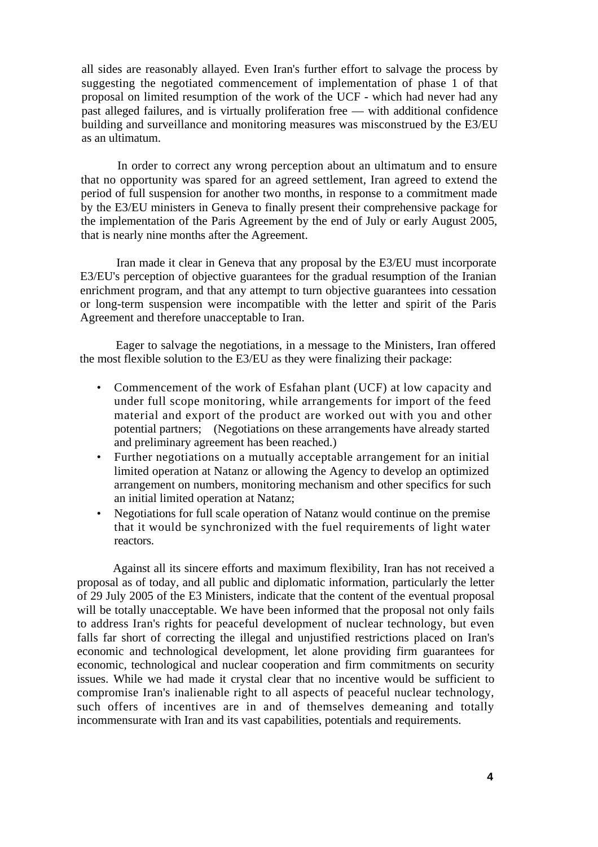all sides are reasonably allayed. Even Iran's further effort to salvage the process by suggesting the negotiated commencement of implementation of phase 1 of that proposal on limited resumption of the work of the UCF - which had never had any past alleged failures, and is virtually proliferation free — with additional confidence building and surveillance and monitoring measures was misconstrued by the E3/EU as an ultimatum.

In order to correct any wrong perception about an ultimatum and to ensure that no opportunity was spared for an agreed settlement, Iran agreed to extend the period of full suspension for another two months, in response to a commitment made by the E3/EU ministers in Geneva to finally present their comprehensive package for the implementation of the Paris Agreement by the end of July or early August 2005, that is nearly nine months after the Agreement.

Iran made it clear in Geneva that any proposal by the E3/EU must incorporate E3/EU's perception of objective guarantees for the gradual resumption of the Iranian enrichment program, and that any attempt to turn objective guarantees into cessation or long-term suspension were incompatible with the letter and spirit of the Paris Agreement and therefore unacceptable to Iran.

Eager to salvage the negotiations, in a message to the Ministers, Iran offered the most flexible solution to the E3/EU as they were finalizing their package:

- Commencement of the work of Esfahan plant (UCF) at low capacity and under full scope monitoring, while arrangements for import of the feed material and export of the product are worked out with you and other potential partners; (Negotiations on these arrangements have already started and preliminary agreement has been reached.)
- Further negotiations on a mutually acceptable arrangement for an initial limited operation at Natanz or allowing the Agency to develop an optimized arrangement on numbers, monitoring mechanism and other specifics for such an initial limited operation at Natanz;
- Negotiations for full scale operation of Natanz would continue on the premise that it would be synchronized with the fuel requirements of light water reactors.

Against all its sincere efforts and maximum flexibility, Iran has not received a proposal as of today, and all public and diplomatic information, particularly the letter of 29 July 2005 of the E3 Ministers, indicate that the content of the eventual proposal will be totally unacceptable. We have been informed that the proposal not only fails to address Iran's rights for peaceful development of nuclear technology, but even falls far short of correcting the illegal and unjustified restrictions placed on Iran's economic and technological development, let alone providing firm guarantees for economic, technological and nuclear cooperation and firm commitments on security issues. While we had made it crystal clear that no incentive would be sufficient to compromise Iran's inalienable right to all aspects of peaceful nuclear technology, such offers of incentives are in and of themselves demeaning and totally incommensurate with Iran and its vast capabilities, potentials and requirements.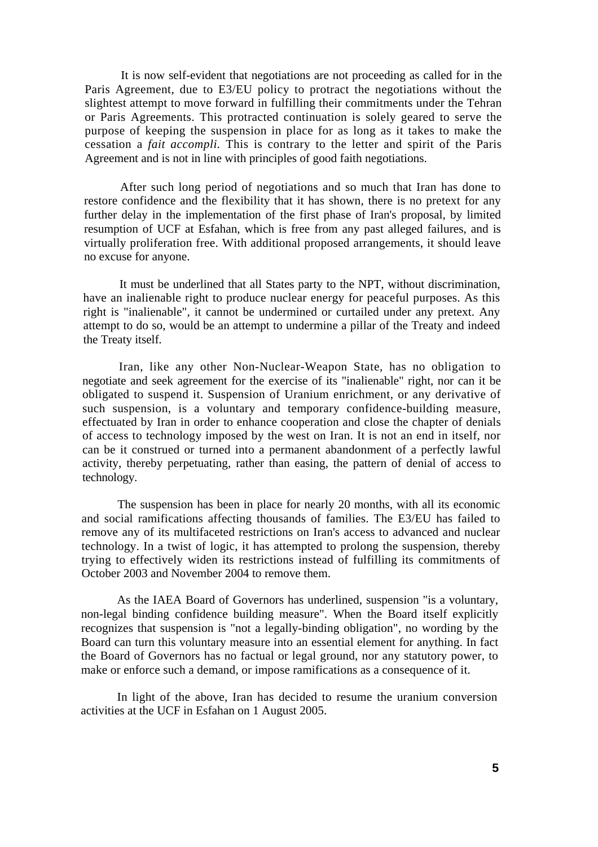It is now self-evident that negotiations are not proceeding as called for in the Paris Agreement, due to E3/EU policy to protract the negotiations without the slightest attempt to move forward in fulfilling their commitments under the Tehran or Paris Agreements. This protracted continuation is solely geared to serve the purpose of keeping the suspension in place for as long as it takes to make the cessation a *fait accompli.* This is contrary to the letter and spirit of the Paris Agreement and is not in line with principles of good faith negotiations.

After such long period of negotiations and so much that Iran has done to restore confidence and the flexibility that it has shown, there is no pretext for any further delay in the implementation of the first phase of Iran's proposal, by limited resumption of UCF at Esfahan, which is free from any past alleged failures, and is virtually proliferation free. With additional proposed arrangements, it should leave no excuse for anyone.

It must be underlined that all States party to the NPT, without discrimination, have an inalienable right to produce nuclear energy for peaceful purposes. As this right is "inalienable", it cannot be undermined or curtailed under any pretext. Any attempt to do so, would be an attempt to undermine a pillar of the Treaty and indeed the Treaty itself.

Iran, like any other Non-Nuclear-Weapon State, has no obligation to negotiate and seek agreement for the exercise of its "inalienable" right, nor can it be obligated to suspend it. Suspension of Uranium enrichment, or any derivative of such suspension, is a voluntary and temporary confidence-building measure, effectuated by Iran in order to enhance cooperation and close the chapter of denials of access to technology imposed by the west on Iran. It is not an end in itself, nor can be it construed or turned into a permanent abandonment of a perfectly lawful activity, thereby perpetuating, rather than easing, the pattern of denial of access to technology.

The suspension has been in place for nearly 20 months, with all its economic and social ramifications affecting thousands of families. The E3/EU has failed to remove any of its multifaceted restrictions on Iran's access to advanced and nuclear technology. In a twist of logic, it has attempted to prolong the suspension, thereby trying to effectively widen its restrictions instead of fulfilling its commitments of October 2003 and November 2004 to remove them.

As the IAEA Board of Governors has underlined, suspension "is a voluntary, non-legal binding confidence building measure". When the Board itself explicitly recognizes that suspension is "not a legally-binding obligation", no wording by the Board can turn this voluntary measure into an essential element for anything. In fact the Board of Governors has no factual or legal ground, nor any statutory power, to make or enforce such a demand, or impose ramifications as a consequence of it.

In light of the above, Iran has decided to resume the uranium conversion activities at the UCF in Esfahan on 1 August 2005.